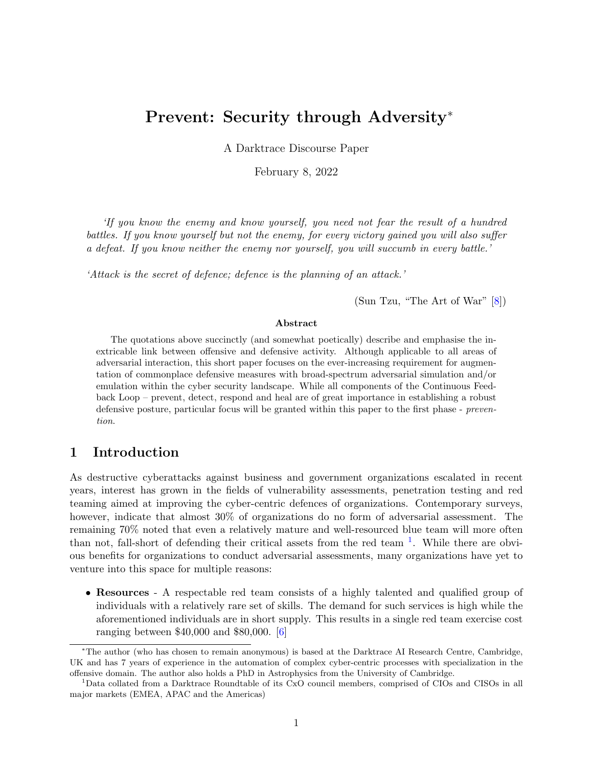# Prevent: Security through Adversity<sup>∗</sup>

A Darktrace Discourse Paper

February 8, 2022

'If you know the enemy and know yourself, you need not fear the result of a hundred battles. If you know yourself but not the enemy, for every victory gained you will also suffer a defeat. If you know neither the enemy nor yourself, you will succumb in every battle.'

'Attack is the secret of defence; defence is the planning of an attack.'

(Sun Tzu, "The Art of War" [\[8\]](#page-7-0))

## Abstract

The quotations above succinctly (and somewhat poetically) describe and emphasise the inextricable link between offensive and defensive activity. Although applicable to all areas of adversarial interaction, this short paper focuses on the ever-increasing requirement for augmentation of commonplace defensive measures with broad-spectrum adversarial simulation and/or emulation within the cyber security landscape. While all components of the Continuous Feedback Loop – prevent, detect, respond and heal are of great importance in establishing a robust defensive posture, particular focus will be granted within this paper to the first phase - prevention.

# 1 Introduction

As destructive cyberattacks against business and government organizations escalated in recent years, interest has grown in the fields of vulnerability assessments, penetration testing and red teaming aimed at improving the cyber-centric defences of organizations. Contemporary surveys, however, indicate that almost  $30\%$  of organizations do no form of adversarial assessment. The remaining 70% noted that even a relatively mature and well-resourced blue team will more often than not, fall-short of defending their critical assets from the red team  $<sup>1</sup>$  $<sup>1</sup>$  $<sup>1</sup>$ . While there are obvi-</sup> ous benefits for organizations to conduct adversarial assessments, many organizations have yet to venture into this space for multiple reasons:

• Resources - A respectable red team consists of a highly talented and qualified group of individuals with a relatively rare set of skills. The demand for such services is high while the aforementioned individuals are in short supply. This results in a single red team exercise cost ranging between \$40,000 and \$80,000. [\[6\]](#page-7-1)

<sup>∗</sup>The author (who has chosen to remain anonymous) is based at the Darktrace AI Research Centre, Cambridge, UK and has 7 years of experience in the automation of complex cyber-centric processes with specialization in the offensive domain. The author also holds a PhD in Astrophysics from the University of Cambridge.

<span id="page-0-0"></span><sup>1</sup>Data collated from a Darktrace Roundtable of its CxO council members, comprised of CIOs and CISOs in all major markets (EMEA, APAC and the Americas)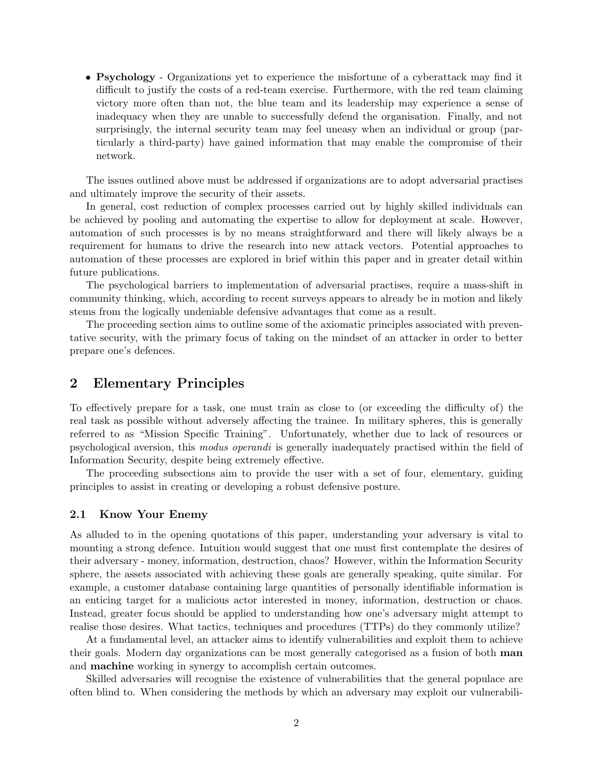• Psychology - Organizations yet to experience the misfortune of a cyberattack may find it difficult to justify the costs of a red-team exercise. Furthermore, with the red team claiming victory more often than not, the blue team and its leadership may experience a sense of inadequacy when they are unable to successfully defend the organisation. Finally, and not surprisingly, the internal security team may feel uneasy when an individual or group (particularly a third-party) have gained information that may enable the compromise of their network.

The issues outlined above must be addressed if organizations are to adopt adversarial practises and ultimately improve the security of their assets.

In general, cost reduction of complex processes carried out by highly skilled individuals can be achieved by pooling and automating the expertise to allow for deployment at scale. However, automation of such processes is by no means straightforward and there will likely always be a requirement for humans to drive the research into new attack vectors. Potential approaches to automation of these processes are explored in brief within this paper and in greater detail within future publications.

The psychological barriers to implementation of adversarial practises, require a mass-shift in community thinking, which, according to recent surveys appears to already be in motion and likely stems from the logically undeniable defensive advantages that come as a result.

The proceeding section aims to outline some of the axiomatic principles associated with preventative security, with the primary focus of taking on the mindset of an attacker in order to better prepare one's defences.

# <span id="page-1-1"></span>2 Elementary Principles

To effectively prepare for a task, one must train as close to (or exceeding the difficulty of) the real task as possible without adversely affecting the trainee. In military spheres, this is generally referred to as "Mission Specific Training". Unfortunately, whether due to lack of resources or psychological aversion, this modus operandi is generally inadequately practised within the field of Information Security, despite being extremely effective.

The proceeding subsections aim to provide the user with a set of four, elementary, guiding principles to assist in creating or developing a robust defensive posture.

## <span id="page-1-0"></span>2.1 Know Your Enemy

As alluded to in the opening quotations of this paper, understanding your adversary is vital to mounting a strong defence. Intuition would suggest that one must first contemplate the desires of their adversary - money, information, destruction, chaos? However, within the Information Security sphere, the assets associated with achieving these goals are generally speaking, quite similar. For example, a customer database containing large quantities of personally identifiable information is an enticing target for a malicious actor interested in money, information, destruction or chaos. Instead, greater focus should be applied to understanding how one's adversary might attempt to realise those desires. What tactics, techniques and procedures (TTPs) do they commonly utilize?

At a fundamental level, an attacker aims to identify vulnerabilities and exploit them to achieve their goals. Modern day organizations can be most generally categorised as a fusion of both man and machine working in synergy to accomplish certain outcomes.

Skilled adversaries will recognise the existence of vulnerabilities that the general populace are often blind to. When considering the methods by which an adversary may exploit our vulnerabili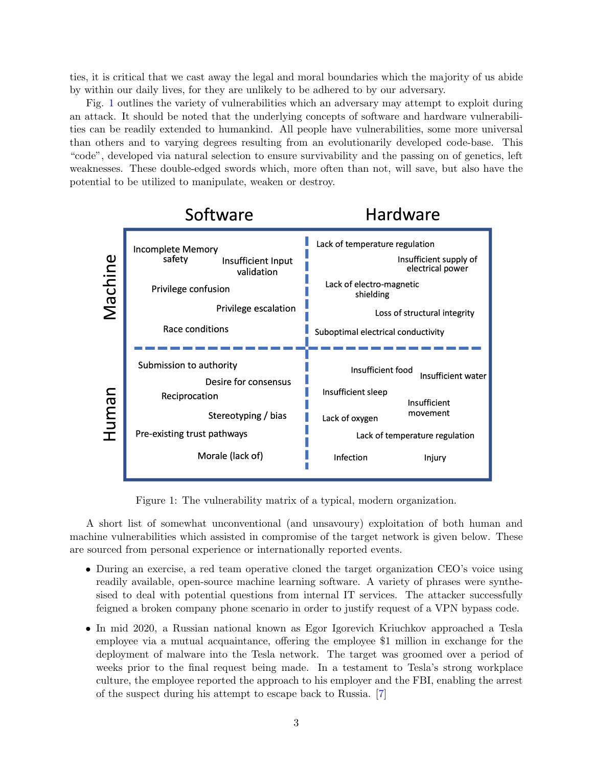ties, it is critical that we cast away the legal and moral boundaries which the majority of us abide by within our daily lives, for they are unlikely to be adhered to by our adversary.

Fig. [1](#page-2-0) outlines the variety of vulnerabilities which an adversary may attempt to exploit during an attack. It should be noted that the underlying concepts of software and hardware vulnerabilities can be readily extended to humankind. All people have vulnerabilities, some more universal than others and to varying degrees resulting from an evolutionarily developed code-base. This "code", developed via natural selection to ensure survivability and the passing on of genetics, left weaknesses. These double-edged swords which, more often than not, will save, but also have the potential to be utilized to manipulate, weaken or destroy.



<span id="page-2-0"></span>Figure 1: The vulnerability matrix of a typical, modern organization.

A short list of somewhat unconventional (and unsavoury) exploitation of both human and machine vulnerabilities which assisted in compromise of the target network is given below. These are sourced from personal experience or internationally reported events.

- During an exercise, a red team operative cloned the target organization CEO's voice using readily available, open-source machine learning software. A variety of phrases were synthesised to deal with potential questions from internal IT services. The attacker successfully feigned a broken company phone scenario in order to justify request of a VPN bypass code.
- In mid 2020, a Russian national known as Egor Igorevich Kriuchkov approached a Tesla employee via a mutual acquaintance, offering the employee \$1 million in exchange for the deployment of malware into the Tesla network. The target was groomed over a period of weeks prior to the final request being made. In a testament to Tesla's strong workplace culture, the employee reported the approach to his employer and the FBI, enabling the arrest of the suspect during his attempt to escape back to Russia. [\[7\]](#page-7-2)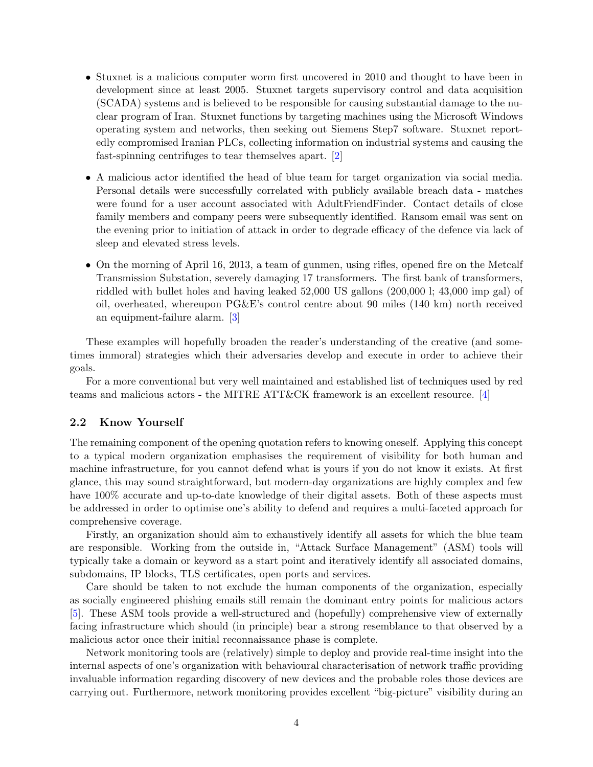- Stuxnet is a malicious computer worm first uncovered in 2010 and thought to have been in development since at least 2005. Stuxnet targets supervisory control and data acquisition (SCADA) systems and is believed to be responsible for causing substantial damage to the nuclear program of Iran. Stuxnet functions by targeting machines using the Microsoft Windows operating system and networks, then seeking out Siemens Step7 software. Stuxnet reportedly compromised Iranian PLCs, collecting information on industrial systems and causing the fast-spinning centrifuges to tear themselves apart. [\[2\]](#page-7-3)
- A malicious actor identified the head of blue team for target organization via social media. Personal details were successfully correlated with publicly available breach data - matches were found for a user account associated with AdultFriendFinder. Contact details of close family members and company peers were subsequently identified. Ransom email was sent on the evening prior to initiation of attack in order to degrade efficacy of the defence via lack of sleep and elevated stress levels.
- On the morning of April 16, 2013, a team of gunmen, using rifles, opened fire on the Metcalf Transmission Substation, severely damaging 17 transformers. The first bank of transformers, riddled with bullet holes and having leaked 52,000 US gallons (200,000 l; 43,000 imp gal) of oil, overheated, whereupon PG&E's control centre about 90 miles (140 km) north received an equipment-failure alarm. [\[3\]](#page-7-4)

These examples will hopefully broaden the reader's understanding of the creative (and sometimes immoral) strategies which their adversaries develop and execute in order to achieve their goals.

For a more conventional but very well maintained and established list of techniques used by red teams and malicious actors - the MITRE ATT&CK framework is an excellent resource. [\[4\]](#page-7-5)

## <span id="page-3-0"></span>2.2 Know Yourself

The remaining component of the opening quotation refers to knowing oneself. Applying this concept to a typical modern organization emphasises the requirement of visibility for both human and machine infrastructure, for you cannot defend what is yours if you do not know it exists. At first glance, this may sound straightforward, but modern-day organizations are highly complex and few have  $100\%$  accurate and up-to-date knowledge of their digital assets. Both of these aspects must be addressed in order to optimise one's ability to defend and requires a multi-faceted approach for comprehensive coverage.

Firstly, an organization should aim to exhaustively identify all assets for which the blue team are responsible. Working from the outside in, "Attack Surface Management" (ASM) tools will typically take a domain or keyword as a start point and iteratively identify all associated domains, subdomains, IP blocks, TLS certificates, open ports and services.

Care should be taken to not exclude the human components of the organization, especially as socially engineered phishing emails still remain the dominant entry points for malicious actors [\[5\]](#page-7-6). These ASM tools provide a well-structured and (hopefully) comprehensive view of externally facing infrastructure which should (in principle) bear a strong resemblance to that observed by a malicious actor once their initial reconnaissance phase is complete.

Network monitoring tools are (relatively) simple to deploy and provide real-time insight into the internal aspects of one's organization with behavioural characterisation of network traffic providing invaluable information regarding discovery of new devices and the probable roles those devices are carrying out. Furthermore, network monitoring provides excellent "big-picture" visibility during an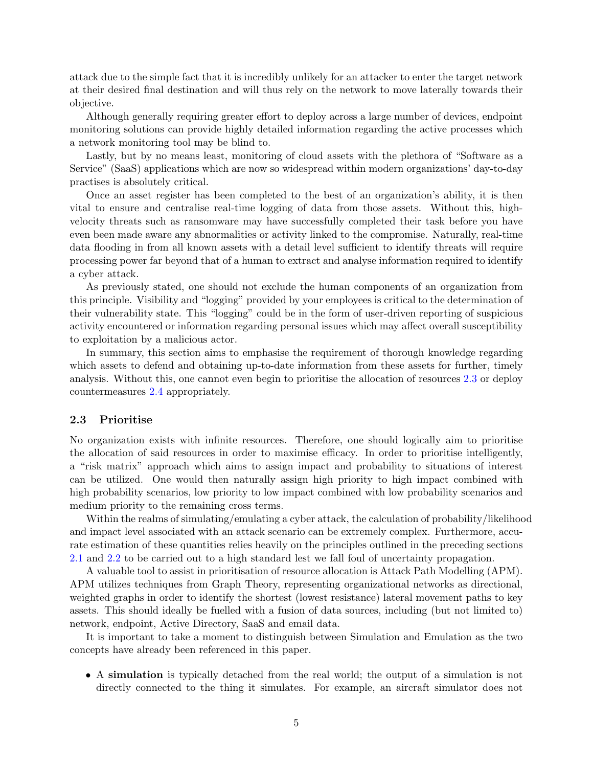attack due to the simple fact that it is incredibly unlikely for an attacker to enter the target network at their desired final destination and will thus rely on the network to move laterally towards their objective.

Although generally requiring greater effort to deploy across a large number of devices, endpoint monitoring solutions can provide highly detailed information regarding the active processes which a network monitoring tool may be blind to.

Lastly, but by no means least, monitoring of cloud assets with the plethora of "Software as a Service" (SaaS) applications which are now so widespread within modern organizations' day-to-day practises is absolutely critical.

Once an asset register has been completed to the best of an organization's ability, it is then vital to ensure and centralise real-time logging of data from those assets. Without this, highvelocity threats such as ransomware may have successfully completed their task before you have even been made aware any abnormalities or activity linked to the compromise. Naturally, real-time data flooding in from all known assets with a detail level sufficient to identify threats will require processing power far beyond that of a human to extract and analyse information required to identify a cyber attack.

As previously stated, one should not exclude the human components of an organization from this principle. Visibility and "logging" provided by your employees is critical to the determination of their vulnerability state. This "logging" could be in the form of user-driven reporting of suspicious activity encountered or information regarding personal issues which may affect overall susceptibility to exploitation by a malicious actor.

In summary, this section aims to emphasise the requirement of thorough knowledge regarding which assets to defend and obtaining up-to-date information from these assets for further, timely analysis. Without this, one cannot even begin to prioritise the allocation of resources [2.3](#page-4-0) or deploy countermeasures [2.4](#page-5-0) appropriately.

#### <span id="page-4-0"></span>2.3 Prioritise

No organization exists with infinite resources. Therefore, one should logically aim to prioritise the allocation of said resources in order to maximise efficacy. In order to prioritise intelligently, a "risk matrix" approach which aims to assign impact and probability to situations of interest can be utilized. One would then naturally assign high priority to high impact combined with high probability scenarios, low priority to low impact combined with low probability scenarios and medium priority to the remaining cross terms.

Within the realms of simulating/emulating a cyber attack, the calculation of probability/likelihood and impact level associated with an attack scenario can be extremely complex. Furthermore, accurate estimation of these quantities relies heavily on the principles outlined in the preceding sections [2.1](#page-1-0) and [2.2](#page-3-0) to be carried out to a high standard lest we fall foul of uncertainty propagation.

A valuable tool to assist in prioritisation of resource allocation is Attack Path Modelling (APM). APM utilizes techniques from Graph Theory, representing organizational networks as directional, weighted graphs in order to identify the shortest (lowest resistance) lateral movement paths to key assets. This should ideally be fuelled with a fusion of data sources, including (but not limited to) network, endpoint, Active Directory, SaaS and email data.

It is important to take a moment to distinguish between Simulation and Emulation as the two concepts have already been referenced in this paper.

• A simulation is typically detached from the real world; the output of a simulation is not directly connected to the thing it simulates. For example, an aircraft simulator does not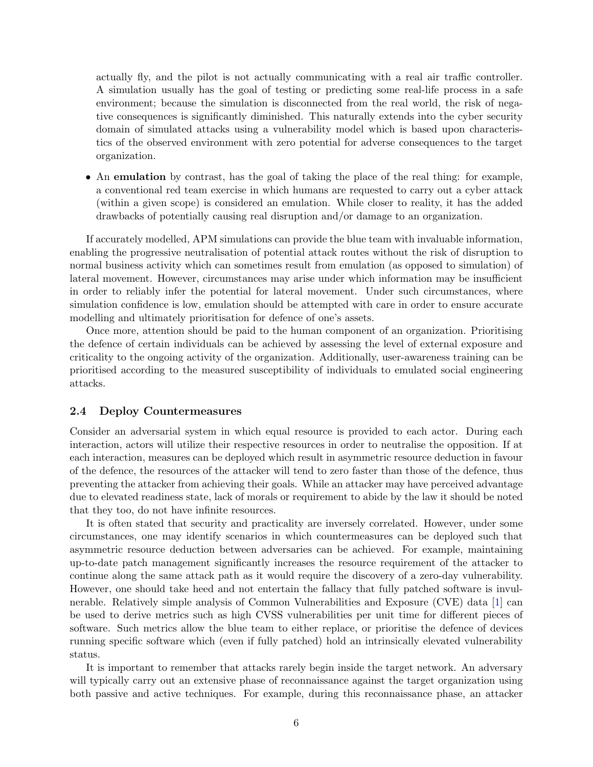actually fly, and the pilot is not actually communicating with a real air traffic controller. A simulation usually has the goal of testing or predicting some real-life process in a safe environment; because the simulation is disconnected from the real world, the risk of negative consequences is significantly diminished. This naturally extends into the cyber security domain of simulated attacks using a vulnerability model which is based upon characteristics of the observed environment with zero potential for adverse consequences to the target organization.

• An emulation by contrast, has the goal of taking the place of the real thing: for example, a conventional red team exercise in which humans are requested to carry out a cyber attack (within a given scope) is considered an emulation. While closer to reality, it has the added drawbacks of potentially causing real disruption and/or damage to an organization.

If accurately modelled, APM simulations can provide the blue team with invaluable information, enabling the progressive neutralisation of potential attack routes without the risk of disruption to normal business activity which can sometimes result from emulation (as opposed to simulation) of lateral movement. However, circumstances may arise under which information may be insufficient in order to reliably infer the potential for lateral movement. Under such circumstances, where simulation confidence is low, emulation should be attempted with care in order to ensure accurate modelling and ultimately prioritisation for defence of one's assets.

Once more, attention should be paid to the human component of an organization. Prioritising the defence of certain individuals can be achieved by assessing the level of external exposure and criticality to the ongoing activity of the organization. Additionally, user-awareness training can be prioritised according to the measured susceptibility of individuals to emulated social engineering attacks.

## <span id="page-5-0"></span>2.4 Deploy Countermeasures

Consider an adversarial system in which equal resource is provided to each actor. During each interaction, actors will utilize their respective resources in order to neutralise the opposition. If at each interaction, measures can be deployed which result in asymmetric resource deduction in favour of the defence, the resources of the attacker will tend to zero faster than those of the defence, thus preventing the attacker from achieving their goals. While an attacker may have perceived advantage due to elevated readiness state, lack of morals or requirement to abide by the law it should be noted that they too, do not have infinite resources.

It is often stated that security and practicality are inversely correlated. However, under some circumstances, one may identify scenarios in which countermeasures can be deployed such that asymmetric resource deduction between adversaries can be achieved. For example, maintaining up-to-date patch management significantly increases the resource requirement of the attacker to continue along the same attack path as it would require the discovery of a zero-day vulnerability. However, one should take heed and not entertain the fallacy that fully patched software is invulnerable. Relatively simple analysis of Common Vulnerabilities and Exposure (CVE) data [\[1\]](#page-7-7) can be used to derive metrics such as high CVSS vulnerabilities per unit time for different pieces of software. Such metrics allow the blue team to either replace, or prioritise the defence of devices running specific software which (even if fully patched) hold an intrinsically elevated vulnerability status.

It is important to remember that attacks rarely begin inside the target network. An adversary will typically carry out an extensive phase of reconnaissance against the target organization using both passive and active techniques. For example, during this reconnaissance phase, an attacker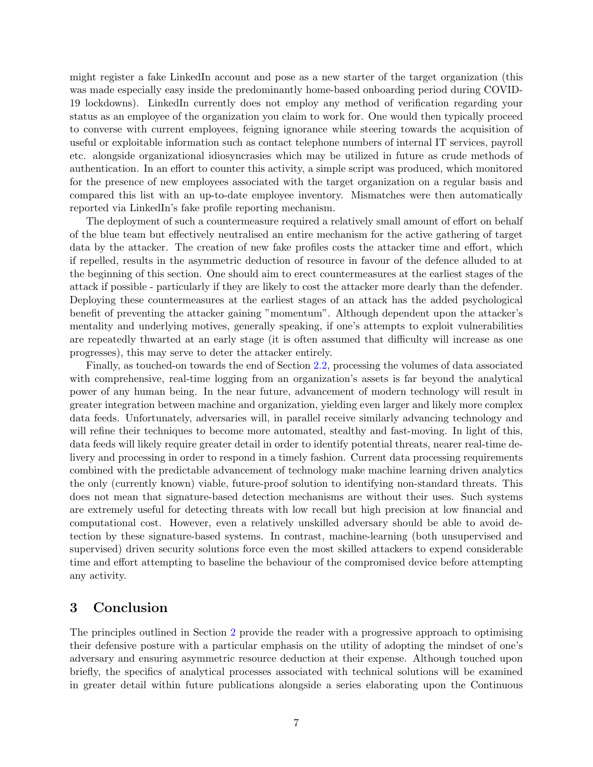might register a fake LinkedIn account and pose as a new starter of the target organization (this was made especially easy inside the predominantly home-based onboarding period during COVID-19 lockdowns). LinkedIn currently does not employ any method of verification regarding your status as an employee of the organization you claim to work for. One would then typically proceed to converse with current employees, feigning ignorance while steering towards the acquisition of useful or exploitable information such as contact telephone numbers of internal IT services, payroll etc. alongside organizational idiosyncrasies which may be utilized in future as crude methods of authentication. In an effort to counter this activity, a simple script was produced, which monitored for the presence of new employees associated with the target organization on a regular basis and compared this list with an up-to-date employee inventory. Mismatches were then automatically reported via LinkedIn's fake profile reporting mechanism.

The deployment of such a countermeasure required a relatively small amount of effort on behalf of the blue team but effectively neutralised an entire mechanism for the active gathering of target data by the attacker. The creation of new fake profiles costs the attacker time and effort, which if repelled, results in the asymmetric deduction of resource in favour of the defence alluded to at the beginning of this section. One should aim to erect countermeasures at the earliest stages of the attack if possible - particularly if they are likely to cost the attacker more dearly than the defender. Deploying these countermeasures at the earliest stages of an attack has the added psychological benefit of preventing the attacker gaining "momentum". Although dependent upon the attacker's mentality and underlying motives, generally speaking, if one's attempts to exploit vulnerabilities are repeatedly thwarted at an early stage (it is often assumed that difficulty will increase as one progresses), this may serve to deter the attacker entirely.

Finally, as touched-on towards the end of Section [2.2,](#page-3-0) processing the volumes of data associated with comprehensive, real-time logging from an organization's assets is far beyond the analytical power of any human being. In the near future, advancement of modern technology will result in greater integration between machine and organization, yielding even larger and likely more complex data feeds. Unfortunately, adversaries will, in parallel receive similarly advancing technology and will refine their techniques to become more automated, stealthy and fast-moving. In light of this, data feeds will likely require greater detail in order to identify potential threats, nearer real-time delivery and processing in order to respond in a timely fashion. Current data processing requirements combined with the predictable advancement of technology make machine learning driven analytics the only (currently known) viable, future-proof solution to identifying non-standard threats. This does not mean that signature-based detection mechanisms are without their uses. Such systems are extremely useful for detecting threats with low recall but high precision at low financial and computational cost. However, even a relatively unskilled adversary should be able to avoid detection by these signature-based systems. In contrast, machine-learning (both unsupervised and supervised) driven security solutions force even the most skilled attackers to expend considerable time and effort attempting to baseline the behaviour of the compromised device before attempting any activity.

## 3 Conclusion

The principles outlined in Section [2](#page-1-1) provide the reader with a progressive approach to optimising their defensive posture with a particular emphasis on the utility of adopting the mindset of one's adversary and ensuring asymmetric resource deduction at their expense. Although touched upon briefly, the specifics of analytical processes associated with technical solutions will be examined in greater detail within future publications alongside a series elaborating upon the Continuous